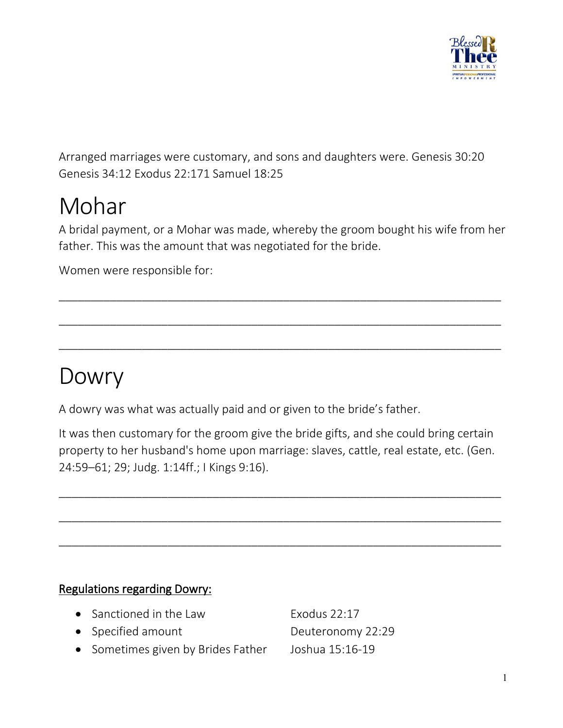

Arranged marriages were customary, and sons and daughters were. Genesis 30:20 Genesis 34:12 Exodus 22:171 Samuel 18:25

Mohar<br>A bridal payment, or a Mohar was made, whereby the groom bought his wife from her father. This was the amount that was negotiated for the bride.

\_\_\_\_\_\_\_\_\_\_\_\_\_\_\_\_\_\_\_\_\_\_\_\_\_\_\_\_\_\_\_\_\_\_\_\_\_\_\_\_\_\_\_\_\_\_\_\_\_\_\_\_\_\_\_\_\_\_\_\_\_\_\_\_\_\_\_\_\_

\_\_\_\_\_\_\_\_\_\_\_\_\_\_\_\_\_\_\_\_\_\_\_\_\_\_\_\_\_\_\_\_\_\_\_\_\_\_\_\_\_\_\_\_\_\_\_\_\_\_\_\_\_\_\_\_\_\_\_\_\_\_\_\_\_\_\_\_\_

\_\_\_\_\_\_\_\_\_\_\_\_\_\_\_\_\_\_\_\_\_\_\_\_\_\_\_\_\_\_\_\_\_\_\_\_\_\_\_\_\_\_\_\_\_\_\_\_\_\_\_\_\_\_\_\_\_\_\_\_\_\_\_\_\_\_\_\_\_

Women were responsible for:

## Dowry

A dowry was what was actually paid and or given to the bride's father.

It was then customary for the groom give the bride gifts, and she could bring certain property to her husband's home upon marriage: slaves, cattle, real estate, etc. (Gen. 24:59–61; 29; Judg. 1:14ff.; I Kings 9:16).

\_\_\_\_\_\_\_\_\_\_\_\_\_\_\_\_\_\_\_\_\_\_\_\_\_\_\_\_\_\_\_\_\_\_\_\_\_\_\_\_\_\_\_\_\_\_\_\_\_\_\_\_\_\_\_\_\_\_\_\_\_\_\_\_\_\_\_\_\_

\_\_\_\_\_\_\_\_\_\_\_\_\_\_\_\_\_\_\_\_\_\_\_\_\_\_\_\_\_\_\_\_\_\_\_\_\_\_\_\_\_\_\_\_\_\_\_\_\_\_\_\_\_\_\_\_\_\_\_\_\_\_\_\_\_\_\_\_\_

\_\_\_\_\_\_\_\_\_\_\_\_\_\_\_\_\_\_\_\_\_\_\_\_\_\_\_\_\_\_\_\_\_\_\_\_\_\_\_\_\_\_\_\_\_\_\_\_\_\_\_\_\_\_\_\_\_\_\_\_\_\_\_\_\_\_\_\_\_

### Regulations regarding Dowry:

- Sanctioned in the Law Exodus  $22:17$ • Specified amount Deuteronomy 22:29
- Sometimes given by Brides Father Joshua 15:16-19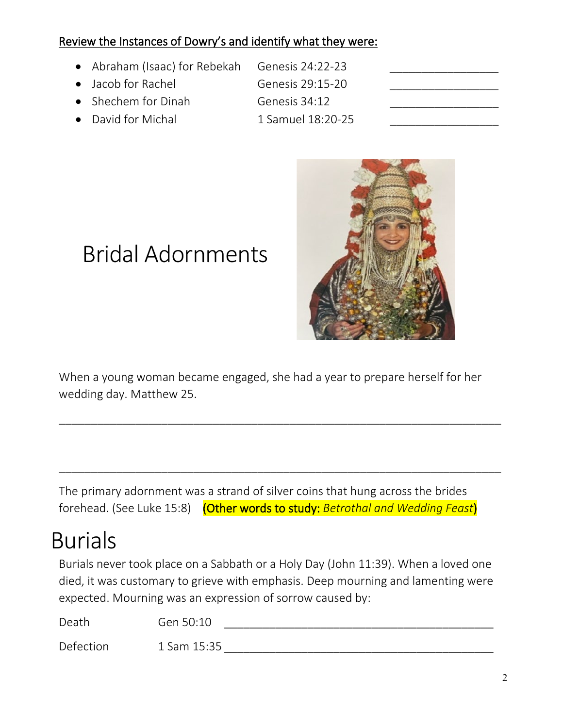### Review the Instances of Dowry's and identify what they were:

- Abraham (Isaac) for Rebekah Genesis 24:22-23
- Jacob for Rachel Genesis 29:15-20
- Shechem for Dinah Genesis 34:12
- 

David for Michal 1 Samuel 18:20-25



# Bridal Adornments

When a young woman became engaged, she had a year to prepare herself for her wedding day. Matthew 25.

\_\_\_\_\_\_\_\_\_\_\_\_\_\_\_\_\_\_\_\_\_\_\_\_\_\_\_\_\_\_\_\_\_\_\_\_\_\_\_\_\_\_\_\_\_\_\_\_\_\_\_\_\_\_\_\_\_\_\_\_\_\_\_\_\_\_\_\_\_

\_\_\_\_\_\_\_\_\_\_\_\_\_\_\_\_\_\_\_\_\_\_\_\_\_\_\_\_\_\_\_\_\_\_\_\_\_\_\_\_\_\_\_\_\_\_\_\_\_\_\_\_\_\_\_\_\_\_\_\_\_\_\_\_\_\_\_\_\_

The primary adornment was a strand of silver coins that hung across the brides forehead. (See Luke 15:8) (Other words to study: *Betrothal and Wedding Feast*)

## Burials

Burials never took place on a Sabbath or a Holy Day (John 11:39). When a loved one died, it was customary to grieve with emphasis. Deep mourning and lamenting were expected. Mourning was an expression of sorrow caused by:

| Death     | Gen 50:10   |
|-----------|-------------|
| Defection | 1 Sam 15:35 |